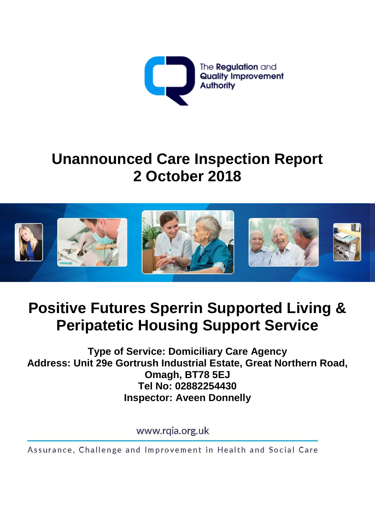

## **Unannounced Care Inspection Report 2 October 2018**



# **Positive Futures Sperrin Supported Living & Peripatetic Housing Support Service**

**Type of Service: Domiciliary Care Agency Address: Unit 29e Gortrush Industrial Estate, Great Northern Road, Omagh, BT78 5EJ Tel No: 02882254430 Inspector: Aveen Donnelly**

www.rgia.org.uk

Assurance, Challenge and Improvement in Health and Social Care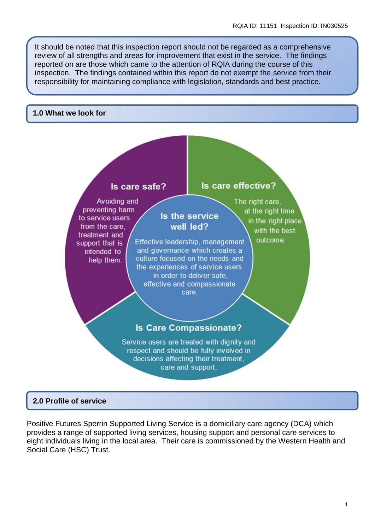It should be noted that this inspection report should not be regarded as a comprehensive review of all strengths and areas for improvement that exist in the service. The findings reported on are those which came to the attention of RQIA during the course of this inspection. The findings contained within this report do not exempt the service from their responsibility for maintaining compliance with legislation, standards and best practice.

#### **1.0 What we look for**



#### **2.0 Profile of service**

Positive Futures Sperrin Supported Living Service is a domiciliary care agency (DCA) which provides a range of supported living services, housing support and personal care services to eight individuals living in the local area. Their care is commissioned by the Western Health and Social Care (HSC) Trust.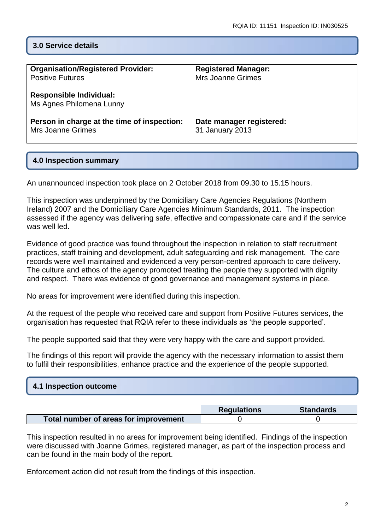## **3.0 Service details**

| <b>Organisation/Registered Provider:</b>                   | <b>Registered Manager:</b> |
|------------------------------------------------------------|----------------------------|
| <b>Positive Futures</b>                                    | Mrs Joanne Grimes          |
| <b>Responsible Individual:</b><br>Ms Agnes Philomena Lunny |                            |
| Person in charge at the time of inspection:                | Date manager registered:   |
| <b>Mrs Joanne Grimes</b>                                   | 31 January 2013            |

#### **4.0 Inspection summary**

An unannounced inspection took place on 2 October 2018 from 09.30 to 15.15 hours.

This inspection was underpinned by the Domiciliary Care Agencies Regulations (Northern Ireland) 2007 and the Domiciliary Care Agencies Minimum Standards, 2011. The inspection assessed if the agency was delivering safe, effective and compassionate care and if the service was well led.

Evidence of good practice was found throughout the inspection in relation to staff recruitment practices, staff training and development, adult safeguarding and risk management. The care records were well maintained and evidenced a very person-centred approach to care delivery. The culture and ethos of the agency promoted treating the people they supported with dignity and respect. There was evidence of good governance and management systems in place.

No areas for improvement were identified during this inspection.

At the request of the people who received care and support from Positive Futures services, the organisation has requested that RQIA refer to these individuals as 'the people supported'.

The people supported said that they were very happy with the care and support provided.

The findings of this report will provide the agency with the necessary information to assist them to fulfil their responsibilities, enhance practice and the experience of the people supported.

| 4.1 Inspection outcome |  |  |
|------------------------|--|--|
|                        |  |  |

|                                       | <b>Regulations</b> | <b>Standards</b> |
|---------------------------------------|--------------------|------------------|
| Total number of areas for improvement |                    |                  |

This inspection resulted in no areas for improvement being identified. Findings of the inspection were discussed with Joanne Grimes, registered manager, as part of the inspection process and can be found in the main body of the report.

Enforcement action did not result from the findings of this inspection.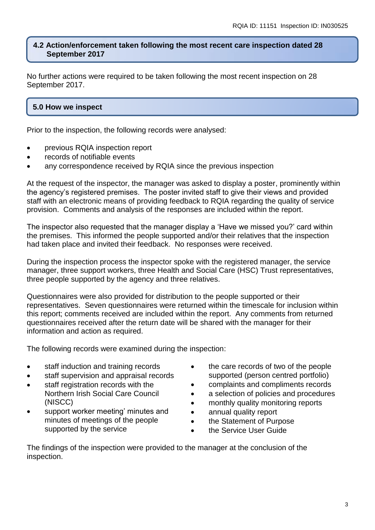#### **4.2 Action/enforcement taken following the most recent care inspection dated 28 September 2017**

No further actions were required to be taken following the most recent inspection on 28 September 2017.

## **5.0 How we inspect**

Prior to the inspection, the following records were analysed:

- previous RQIA inspection report
- records of notifiable events
- any correspondence received by RQIA since the previous inspection

At the request of the inspector, the manager was asked to display a poster, prominently within the agency's registered premises. The poster invited staff to give their views and provided staff with an electronic means of providing feedback to RQIA regarding the quality of service provision. Comments and analysis of the responses are included within the report.

The inspector also requested that the manager display a 'Have we missed you?' card within the premises. This informed the people supported and/or their relatives that the inspection had taken place and invited their feedback. No responses were received.

During the inspection process the inspector spoke with the registered manager, the service manager, three support workers, three Health and Social Care (HSC) Trust representatives, three people supported by the agency and three relatives.

Questionnaires were also provided for distribution to the people supported or their representatives. Seven questionnaires were returned within the timescale for inclusion within this report; comments received are included within the report. Any comments from returned questionnaires received after the return date will be shared with the manager for their information and action as required.

The following records were examined during the inspection:

- staff induction and training records
- staff supervision and appraisal records
- staff registration records with the Northern Irish Social Care Council (NISCC)
- support worker meeting' minutes and minutes of meetings of the people supported by the service
- the care records of two of the people supported (person centred portfolio)
- complaints and compliments records
- a selection of policies and procedures
- monthly quality monitoring reports
- annual quality report
- the Statement of Purpose
- the Service User Guide

The findings of the inspection were provided to the manager at the conclusion of the inspection.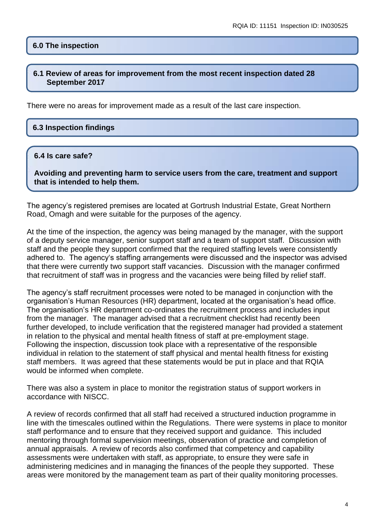#### **6.0 The inspection**

#### **6.1 Review of areas for improvement from the most recent inspection dated 28 September 2017**

There were no areas for improvement made as a result of the last care inspection.

#### **6.3 Inspection findings**

#### **6.4 Is care safe?**

**Avoiding and preventing harm to service users from the care, treatment and support that is intended to help them.**

The agency's registered premises are located at Gortrush Industrial Estate, Great Northern Road, Omagh and were suitable for the purposes of the agency.

At the time of the inspection, the agency was being managed by the manager, with the support of a deputy service manager, senior support staff and a team of support staff. Discussion with staff and the people they support confirmed that the required staffing levels were consistently adhered to. The agency's staffing arrangements were discussed and the inspector was advised that there were currently two support staff vacancies. Discussion with the manager confirmed that recruitment of staff was in progress and the vacancies were being filled by relief staff.

The agency's staff recruitment processes were noted to be managed in conjunction with the organisation's Human Resources (HR) department, located at the organisation's head office. The organisation's HR department co-ordinates the recruitment process and includes input from the manager. The manager advised that a recruitment checklist had recently been further developed, to include verification that the registered manager had provided a statement in relation to the physical and mental health fitness of staff at pre-employment stage. Following the inspection, discussion took place with a representative of the responsible individual in relation to the statement of staff physical and mental health fitness for existing staff members. It was agreed that these statements would be put in place and that RQIA would be informed when complete.

There was also a system in place to monitor the registration status of support workers in accordance with NISCC.

A review of records confirmed that all staff had received a structured induction programme in line with the timescales outlined within the Regulations. There were systems in place to monitor staff performance and to ensure that they received support and guidance. This included mentoring through formal supervision meetings, observation of practice and completion of annual appraisals. A review of records also confirmed that competency and capability assessments were undertaken with staff, as appropriate, to ensure they were safe in administering medicines and in managing the finances of the people they supported. These areas were monitored by the management team as part of their quality monitoring processes.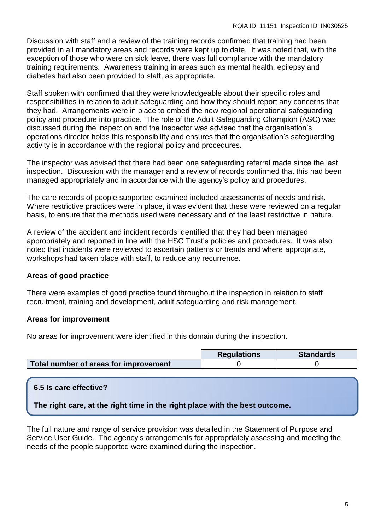Discussion with staff and a review of the training records confirmed that training had been provided in all mandatory areas and records were kept up to date. It was noted that, with the exception of those who were on sick leave, there was full compliance with the mandatory training requirements. Awareness training in areas such as mental health, epilepsy and diabetes had also been provided to staff, as appropriate.

Staff spoken with confirmed that they were knowledgeable about their specific roles and responsibilities in relation to adult safeguarding and how they should report any concerns that they had. Arrangements were in place to embed the new regional operational safeguarding policy and procedure into practice. The role of the Adult Safeguarding Champion (ASC) was discussed during the inspection and the inspector was advised that the organisation's operations director holds this responsibility and ensures that the organisation's safeguarding activity is in accordance with the regional policy and procedures.

The inspector was advised that there had been one safeguarding referral made since the last inspection. Discussion with the manager and a review of records confirmed that this had been managed appropriately and in accordance with the agency's policy and procedures.

The care records of people supported examined included assessments of needs and risk. Where restrictive practices were in place, it was evident that these were reviewed on a regular basis, to ensure that the methods used were necessary and of the least restrictive in nature.

A review of the accident and incident records identified that they had been managed appropriately and reported in line with the HSC Trust's policies and procedures. It was also noted that incidents were reviewed to ascertain patterns or trends and where appropriate, workshops had taken place with staff, to reduce any recurrence.

## **Areas of good practice**

There were examples of good practice found throughout the inspection in relation to staff recruitment, training and development, adult safeguarding and risk management.

## **Areas for improvement**

No areas for improvement were identified in this domain during the inspection.

|                                       | <b>Regulations</b> | <b>Standards</b> |
|---------------------------------------|--------------------|------------------|
| Total number of areas for improvement |                    |                  |

| 6.5 Is care effective?                                                      |  |
|-----------------------------------------------------------------------------|--|
| The right care, at the right time in the right place with the best outcome. |  |

The full nature and range of service provision was detailed in the Statement of Purpose and Service User Guide. The agency's arrangements for appropriately assessing and meeting the needs of the people supported were examined during the inspection.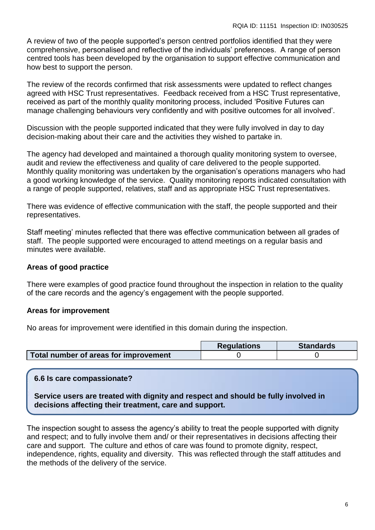A review of two of the people supported's person centred portfolios identified that they were comprehensive, personalised and reflective of the individuals' preferences. A range of person centred tools has been developed by the organisation to support effective communication and how best to support the person.

The review of the records confirmed that risk assessments were updated to reflect changes agreed with HSC Trust representatives. Feedback received from a HSC Trust representative, received as part of the monthly quality monitoring process, included 'Positive Futures can manage challenging behaviours very confidently and with positive outcomes for all involved'.

Discussion with the people supported indicated that they were fully involved in day to day decision-making about their care and the activities they wished to partake in.

The agency had developed and maintained a thorough quality monitoring system to oversee, audit and review the effectiveness and quality of care delivered to the people supported. Monthly quality monitoring was undertaken by the organisation's operations managers who had a good working knowledge of the service. Quality monitoring reports indicated consultation with a range of people supported, relatives, staff and as appropriate HSC Trust representatives.

There was evidence of effective communication with the staff, the people supported and their representatives.

Staff meeting' minutes reflected that there was effective communication between all grades of staff. The people supported were encouraged to attend meetings on a regular basis and minutes were available.

## **Areas of good practice**

There were examples of good practice found throughout the inspection in relation to the quality of the care records and the agency's engagement with the people supported.

## **Areas for improvement**

No areas for improvement were identified in this domain during the inspection.

|                                       | <b>Requlations</b> | <b>Standards</b> |
|---------------------------------------|--------------------|------------------|
| Total number of areas for improvement |                    |                  |

## **6.6 Is care compassionate?**

**Service users are treated with dignity and respect and should be fully involved in decisions affecting their treatment, care and support.**

The inspection sought to assess the agency's ability to treat the people supported with dignity and respect; and to fully involve them and/ or their representatives in decisions affecting their care and support. The culture and ethos of care was found to promote dignity, respect, independence, rights, equality and diversity. This was reflected through the staff attitudes and the methods of the delivery of the service.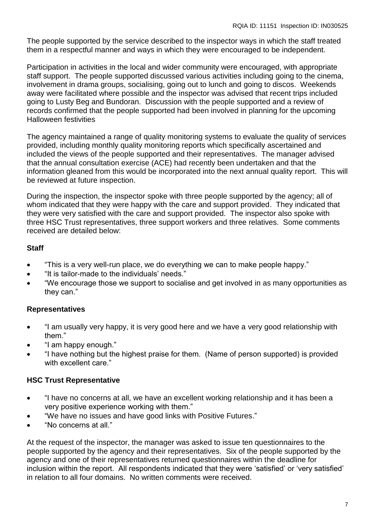The people supported by the service described to the inspector ways in which the staff treated them in a respectful manner and ways in which they were encouraged to be independent.

Participation in activities in the local and wider community were encouraged, with appropriate staff support. The people supported discussed various activities including going to the cinema, involvement in drama groups, socialising, going out to lunch and going to discos. Weekends away were facilitated where possible and the inspector was advised that recent trips included going to Lusty Beg and Bundoran. Discussion with the people supported and a review of records confirmed that the people supported had been involved in planning for the upcoming Halloween festivities

The agency maintained a range of quality monitoring systems to evaluate the quality of services provided, including monthly quality monitoring reports which specifically ascertained and included the views of the people supported and their representatives. The manager advised that the annual consultation exercise (ACE) had recently been undertaken and that the information gleaned from this would be incorporated into the next annual quality report. This will be reviewed at future inspection.

During the inspection, the inspector spoke with three people supported by the agency; all of whom indicated that they were happy with the care and support provided. They indicated that they were very satisfied with the care and support provided. The inspector also spoke with three HSC Trust representatives, three support workers and three relatives. Some comments received are detailed below:

## **Staff**

- "This is a very well-run place, we do everything we can to make people happy."
- "It is tailor-made to the individuals' needs."
- "We encourage those we support to socialise and get involved in as many opportunities as they can."

## **Representatives**

- "I am usually very happy, it is very good here and we have a very good relationship with them."
- "I am happy enough."
- "I have nothing but the highest praise for them. (Name of person supported) is provided with excellent care."

## **HSC Trust Representative**

- "I have no concerns at all, we have an excellent working relationship and it has been a very positive experience working with them."
- "We have no issues and have good links with Positive Futures."
- "No concerns at all."

At the request of the inspector, the manager was asked to issue ten questionnaires to the people supported by the agency and their representatives. Six of the people supported by the agency and one of their representatives returned questionnaires within the deadline for inclusion within the report. All respondents indicated that they were 'satisfied' or 'very satisfied' in relation to all four domains. No written comments were received.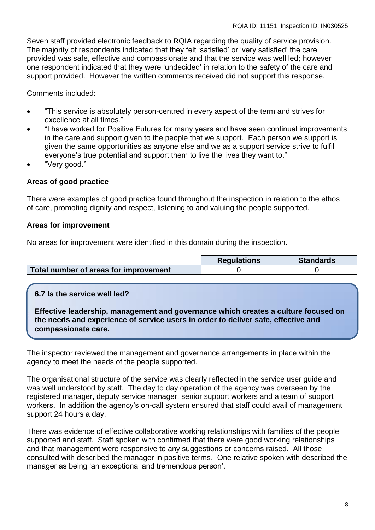Seven staff provided electronic feedback to RQIA regarding the quality of service provision. The majority of respondents indicated that they felt 'satisfied' or 'very satisfied' the care provided was safe, effective and compassionate and that the service was well led; however one respondent indicated that they were 'undecided' in relation to the safety of the care and support provided. However the written comments received did not support this response.

Comments included:

- "This service is absolutely person-centred in every aspect of the term and strives for excellence at all times."
- "I have worked for Positive Futures for many years and have seen continual improvements in the care and support given to the people that we support. Each person we support is given the same opportunities as anyone else and we as a support service strive to fulfil everyone's true potential and support them to live the lives they want to."
- "Very good."

## **Areas of good practice**

There were examples of good practice found throughout the inspection in relation to the ethos of care, promoting dignity and respect, listening to and valuing the people supported.

#### **Areas for improvement**

No areas for improvement were identified in this domain during the inspection.

|                                       | <b>Requlations</b> | <b>Standards</b> |
|---------------------------------------|--------------------|------------------|
| Total number of areas for improvement |                    |                  |

## **6.7 Is the service well led?**

**Effective leadership, management and governance which creates a culture focused on the needs and experience of service users in order to deliver safe, effective and compassionate care.**

The inspector reviewed the management and governance arrangements in place within the agency to meet the needs of the people supported.

The organisational structure of the service was clearly reflected in the service user guide and was well understood by staff. The day to day operation of the agency was overseen by the registered manager, deputy service manager, senior support workers and a team of support workers. In addition the agency's on-call system ensured that staff could avail of management support 24 hours a day.

There was evidence of effective collaborative working relationships with families of the people supported and staff. Staff spoken with confirmed that there were good working relationships and that management were responsive to any suggestions or concerns raised. All those consulted with described the manager in positive terms. One relative spoken with described the manager as being 'an exceptional and tremendous person'.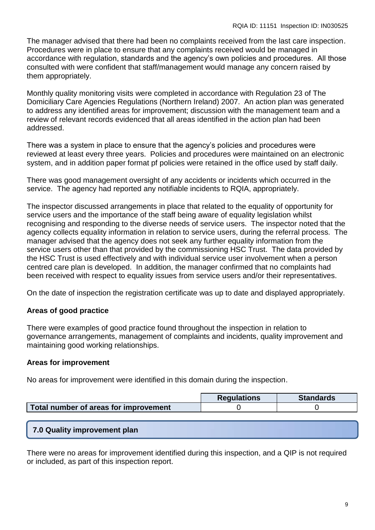The manager advised that there had been no complaints received from the last care inspection. Procedures were in place to ensure that any complaints received would be managed in accordance with regulation, standards and the agency's own policies and procedures. All those consulted with were confident that staff/management would manage any concern raised by them appropriately.

Monthly quality monitoring visits were completed in accordance with Regulation 23 of The Domiciliary Care Agencies Regulations (Northern Ireland) 2007. An action plan was generated to address any identified areas for improvement; discussion with the management team and a review of relevant records evidenced that all areas identified in the action plan had been addressed.

There was a system in place to ensure that the agency's policies and procedures were reviewed at least every three years. Policies and procedures were maintained on an electronic system, and in addition paper format pf policies were retained in the office used by staff daily.

There was good management oversight of any accidents or incidents which occurred in the service. The agency had reported any notifiable incidents to RQIA, appropriately.

The inspector discussed arrangements in place that related to the equality of opportunity for service users and the importance of the staff being aware of equality legislation whilst recognising and responding to the diverse needs of service users. The inspector noted that the agency collects equality information in relation to service users, during the referral process. The manager advised that the agency does not seek any further equality information from the service users other than that provided by the commissioning HSC Trust. The data provided by the HSC Trust is used effectively and with individual service user involvement when a person centred care plan is developed. In addition, the manager confirmed that no complaints had been received with respect to equality issues from service users and/or their representatives.

On the date of inspection the registration certificate was up to date and displayed appropriately.

## **Areas of good practice**

There were examples of good practice found throughout the inspection in relation to governance arrangements, management of complaints and incidents, quality improvement and maintaining good working relationships.

#### **Areas for improvement**

No areas for improvement were identified in this domain during the inspection.

|                                       | <b>Regulations</b> | <b>Standards</b> |
|---------------------------------------|--------------------|------------------|
| Total number of areas for improvement |                    |                  |

#### **7.0 Quality improvement plan**

There were no areas for improvement identified during this inspection, and a QIP is not required or included, as part of this inspection report.